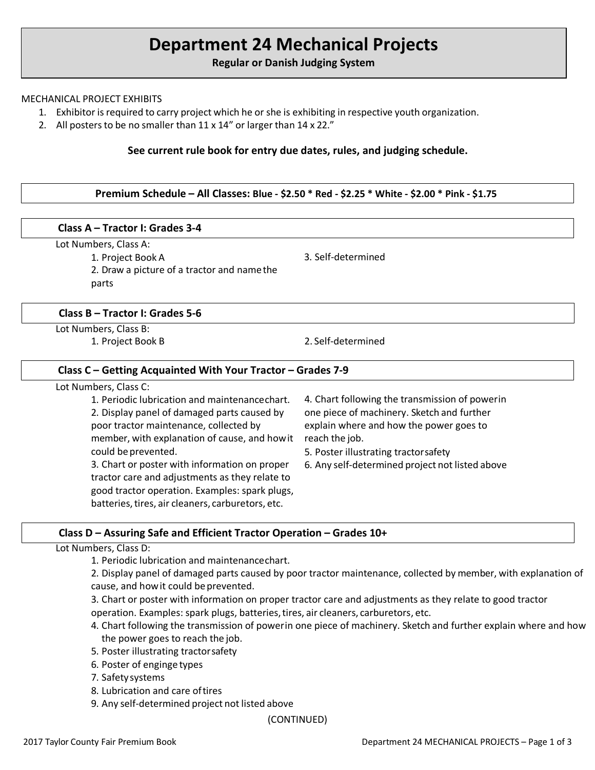# **Department 24 Mechanical Projects**

**Regular or Danish Judging System**

### MECHANICAL PROJECT EXHIBITS

- 1. Exhibitor is required to carry project which he or she is exhibiting in respective youth organization.
- 2. All posters to be no smaller than 11 x 14" or larger than 14 x 22."

# **See current rule book for entry due dates, rules, and judging schedule.**

### **Premium Schedule – All Classes: Blue - \$2.50 \* Red - \$2.25 \* White - \$2.00 \* Pink - \$1.75**

### **Class A – Tractor I: Grades 3-4**

### Lot Numbers, Class A:

1. Project Book A

2. Draw a picture of a tractor and namethe parts

### **Class B – Tractor I: Grades 5-6**

Lot Numbers, Class B:

1. Project Book B 2. Self-determined

3. Self-determined

### **Class C – Getting Acquainted With Your Tractor – Grades 7-9**

| Lot Numbers, Class C: |  |
|-----------------------|--|
|-----------------------|--|

1. Periodic lubrication and maintenancechart. 2. Display panel of damaged parts caused by poor tractor maintenance, collected by member, with explanation of cause, and howit could be prevented.

3. Chart or poster with information on proper tractor care and adjustments as they relate to good tractor operation. Examples: spark plugs, batteries, tires, air cleaners, carburetors, etc.

4. Chart following the transmission of powerin one piece of machinery. Sketch and further explain where and how the power goes to reach the job.

5. Poster illustrating tractorsafety

6. Any self-determined project not listed above

# **Class D – Assuring Safe and Efficient Tractor Operation – Grades 10+**

### Lot Numbers, Class D:

1. Periodic lubrication and maintenancechart.

2. Display panel of damaged parts caused by poor tractor maintenance, collected by member, with explanation of cause, and how it could be prevented.

3. Chart or poster with information on proper tractor care and adjustments as they relate to good tractor operation. Examples: spark plugs, batteries,tires, air cleaners, carburetors, etc.

- 4. Chart following the transmission of powerin one piece of machinery. Sketch and further explain where and how the power goes to reach the job.
- 5. Poster illustrating tractorsafety
- 6. Poster of enginge types
- 7. Safetysystems
- 8. Lubrication and care oftires
- 9. Any self-determined project not listed above

(CONTINUED)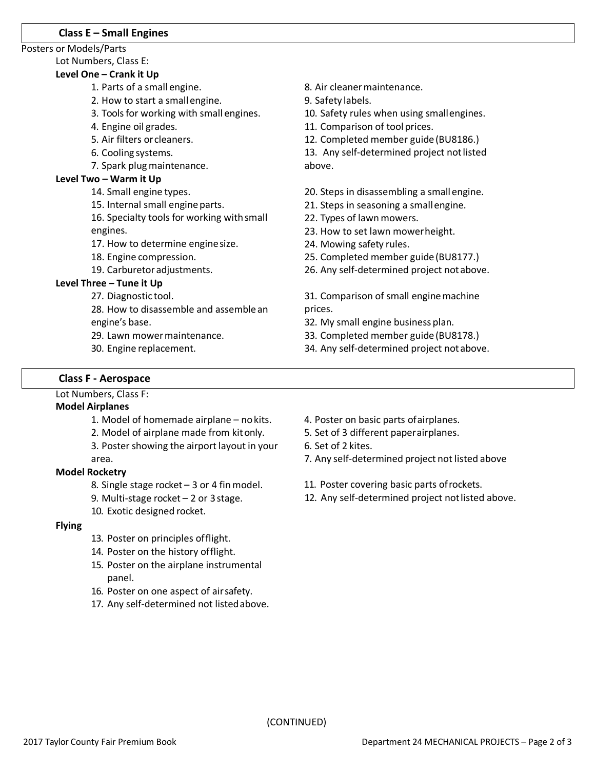### **Class E – Small Engines**

#### Posters or Models/Parts

# Lot Numbers, Class E:

# **Level One – Crank it Up**

- 1. Parts of a small engine.
- 2. How to start a smallengine.
- 3. Tools for working with small engines.
- 4. Engine oil grades.
- 5. Air filters orcleaners.
- 6. Cooling systems.
- 7. Spark plug maintenance.

### **Level Two – Warm it Up**

- 14. Small engine types.
- 15. Internal small engine parts.
- 16. Specialty tools for working with small engines.
- 17. How to determine enginesize.
- 18. Engine compression.
- 19. Carburetor adjustments.

# **Level Three – Tune it Up**

- 27. Diagnostic tool.
- 28. How to disassemble and assemblean engine's base.
- 29. Lawn mowermaintenance.
- 30. Engine replacement.

8. Air cleanermaintenance.

9. Safety labels.

10. Safety rules when using smallengines.

11. Comparison of tool prices.

12. Completed member guide (BU8186.)

13. Any self-determined project not listed above.

- 20. Steps in disassembling a small engine.
- 21. Steps in seasoning a smallengine.
- 22. Types of lawn mowers.
- 23. How to set lawn mowerheight.
- 24. Mowing safety rules.
- 25. Completed member guide(BU8177.)
- 26. Any self-determined project notabove.

31. Comparison of small engine machine prices.

- 32. My small engine business plan.
- 33. Completed member guide(BU8178.)
- 34. Any self-determined project notabove.

# **Class F - Aerospace**

Lot Numbers, Class F:

### **Model Airplanes**

- 1. Model of homemade airplane nokits.
- 2. Model of airplane made from kitonly.
- 3. Poster showing the airport layout in your area.

### **Model Rocketry**

- 8. Single stage rocket 3 or 4 fin model.
- 9. Multi-stage rocket  $-2$  or 3 stage.
- 10. Exotic designed rocket.

# **Flying**

- 13. Poster on principles offlight.
- 14. Poster on the history offlight.
- 15. Poster on the airplane instrumental panel.
- 16. Poster on one aspect of airsafety.
- 17. Any self-determined not listedabove.
- 4. Poster on basic parts ofairplanes.
- 5. Set of 3 different paperairplanes.
- 6. Set of 2 kites.
- 7. Any self-determined project not listed above
- 11. Poster covering basic parts ofrockets.
- 12. Any self-determined project notlisted above.